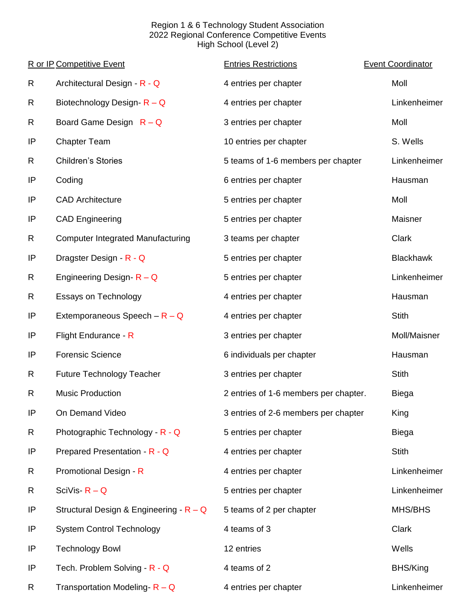## Region 1 & 6 Technology Student Association 2022 Regional Conference Competitive Events High School (Level 2)

|    | R or IP Competitive Event                 | <b>Entries Restrictions</b>           | <b>Event Coordinator</b> |
|----|-------------------------------------------|---------------------------------------|--------------------------|
| R  | Architectural Design - R - Q              | 4 entries per chapter                 | Moll                     |
| R  | Biotechnology Design- $R - Q$             | 4 entries per chapter                 | Linkenheimer             |
| R  | Board Game Design $R - Q$                 | 3 entries per chapter                 | Moll                     |
| IP | <b>Chapter Team</b>                       | 10 entries per chapter                | S. Wells                 |
| R  | <b>Children's Stories</b>                 | 5 teams of 1-6 members per chapter    | Linkenheimer             |
| IP | Coding                                    | 6 entries per chapter                 | Hausman                  |
| IP | <b>CAD Architecture</b>                   | 5 entries per chapter                 | Moll                     |
| IP | <b>CAD Engineering</b>                    | 5 entries per chapter                 | Maisner                  |
| R  | <b>Computer Integrated Manufacturing</b>  | 3 teams per chapter                   | <b>Clark</b>             |
| IP | Dragster Design - R - Q                   | 5 entries per chapter                 | <b>Blackhawk</b>         |
| R  | Engineering Design- $R - Q$               | 5 entries per chapter                 | Linkenheimer             |
| R  | <b>Essays on Technology</b>               | 4 entries per chapter                 | Hausman                  |
| IP | Extemporaneous Speech $-R - Q$            | 4 entries per chapter                 | <b>Stith</b>             |
| IP | Flight Endurance - R                      | 3 entries per chapter                 | Moll/Maisner             |
| IP | <b>Forensic Science</b>                   | 6 individuals per chapter             | Hausman                  |
| R  | <b>Future Technology Teacher</b>          | 3 entries per chapter                 | <b>Stith</b>             |
| R  | <b>Music Production</b>                   | 2 entries of 1-6 members per chapter. | <b>Biega</b>             |
| IP | On Demand Video                           | 3 entries of 2-6 members per chapter  | King                     |
| R  | Photographic Technology - R - Q           | 5 entries per chapter                 | <b>Biega</b>             |
| ΙP | Prepared Presentation - R - Q             | 4 entries per chapter                 | <b>Stith</b>             |
| R  | Promotional Design - R                    | 4 entries per chapter                 | Linkenheimer             |
| R  | SciVis- $R - Q$                           | 5 entries per chapter                 | Linkenheimer             |
| IP | Structural Design & Engineering - $R - Q$ | 5 teams of 2 per chapter              | MHS/BHS                  |
| IP | <b>System Control Technology</b>          | 4 teams of 3                          | Clark                    |
| IP | <b>Technology Bowl</b>                    | 12 entries                            | Wells                    |
| ΙP | Tech. Problem Solving - R - Q             | 4 teams of 2                          | BHS/King                 |
| R  | Transportation Modeling- $R - Q$          | 4 entries per chapter                 | Linkenheimer             |